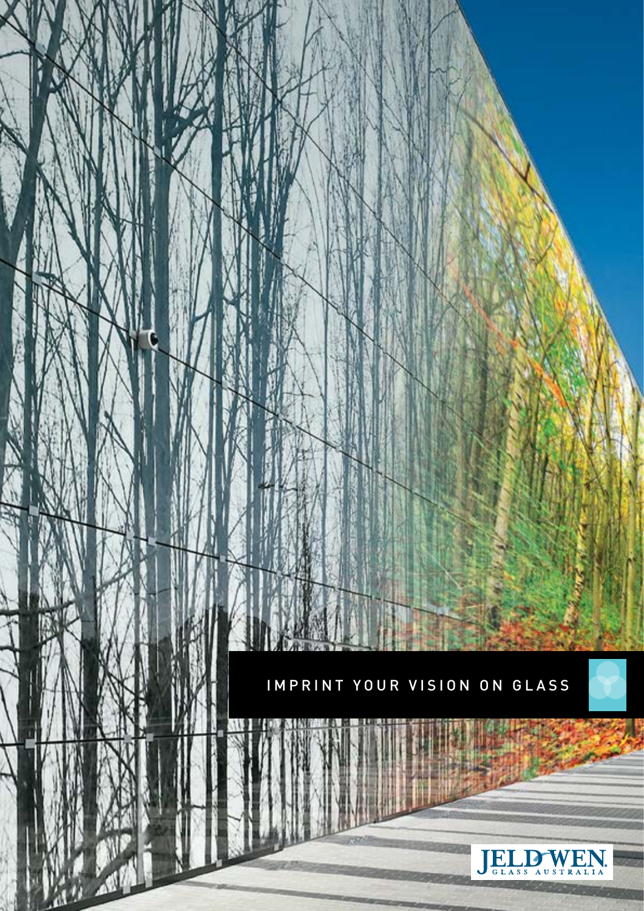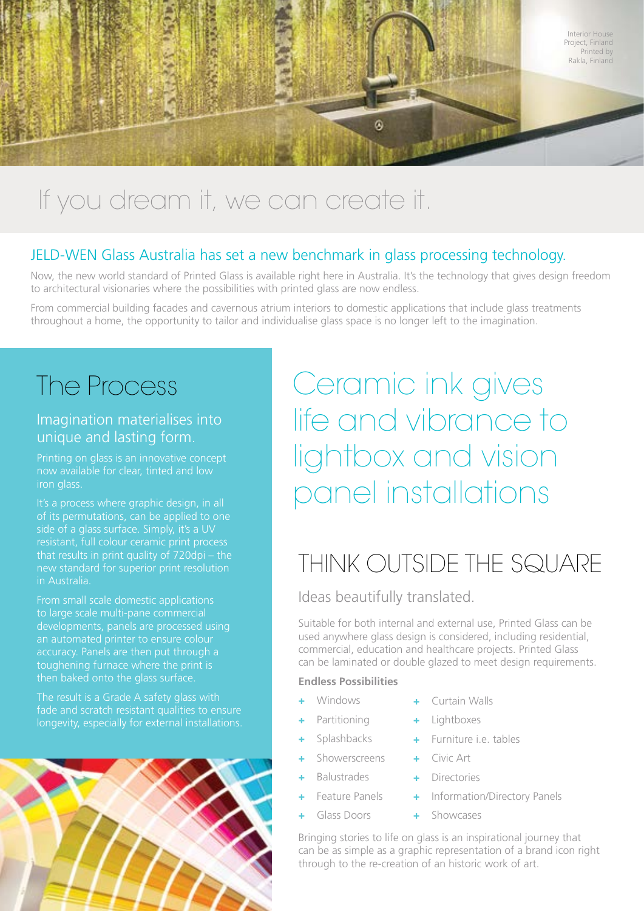

# If you dream it, we can create it.

### JELD-WEN Glass Australia has set a new benchmark in glass processing technology.

Now, the new world standard of Printed Glass is available right here in Australia. It's the technology that gives design freedom to architectural visionaries where the possibilities with printed glass are now endless.

From commercial building facades and cavernous atrium interiors to domestic applications that include glass treatments throughout a home, the opportunity to tailor and individualise glass space is no longer left to the imagination.

## The Process

## Imagination materialises into unique and lasting form.

Printing on glass is an innovative concept now available for clear, tinted and low iron glass.

of its permutations, can be applied to one that results in print quality of 720dpi – the in Australia.

From small scale domestic applications to large scale multi-pane commercial developments, panels are processed using accuracy. Panels are then put through a toughening furnace where the print is

fade and scratch resistant qualities to ensure longevity, especially for external installations.



# Ceramic ink gives life and vibrance to lightbox and vision panel installations

## THINK OUTSIDE THE SQUARE

Ideas beautifully translated.

Suitable for both internal and external use, Printed Glass can be used anywhere glass design is considered, including residential, commercial, education and healthcare projects. Printed Glass can be laminated or double glazed to meet design requirements.

### **Endless Possibilities**

- + Windows
- + Partitioning
- + Splashbacks
- + Showerscreens
- **Balustrades**
- Feature Panels
- Glass Doors
- Curtain Walls
- **Lightboxes**
- Furniture i.e. tables
- Civic Art
- Directories
- Information/Directory Panels
- **Showcases**

Bringing stories to life on glass is an inspirational journey that can be as simple as a graphic representation of a brand icon right through to the re-creation of an historic work of art.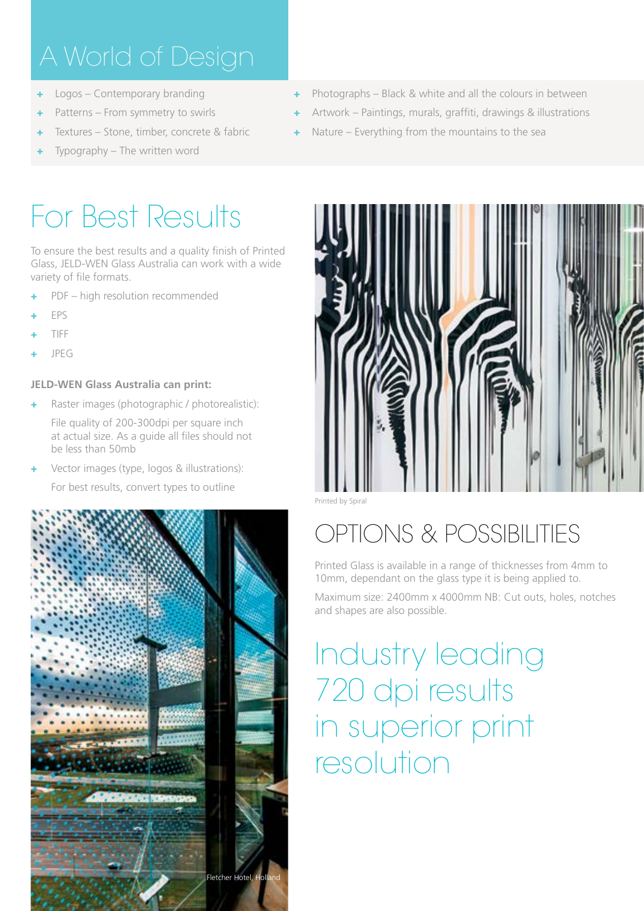- + Logos Contemporary branding
- Patterns From symmetry to swirls
- Textures Stone, timber, concrete & fabric
- Typography The written word

# For Best Results

To ensure the best results and a quality finish of Printed Glass, JELD-WEN Glass Australia can work with a wide variety of file formats.

- PDF high resolution recommended
- + EPS
- + TIFF
- + JPEG

### **JELD-WEN Glass Australia can print:**

Raster images (photographic / photorealistic): File quality of 200-300dpi per square inch

at actual size. As a guide all files should not be less than 50mb

Vector images (type, logos & illustrations): For best results, convert types to outline



- + Photographs Black & white and all the colours in between
- Artwork Paintings, murals, graffiti, drawings & illustrations
- Nature Everything from the mountains to the sea



Printed by Spiral

# OPTIONS & POSSIBILITIES

Printed Glass is available in a range of thicknesses from 4mm to 10mm, dependant on the glass type it is being applied to.

Maximum size: 2400mm x 4000mm NB: Cut outs, holes, notches and shapes are also possible.

# Industry leading 720 dpi results in superior print resolution